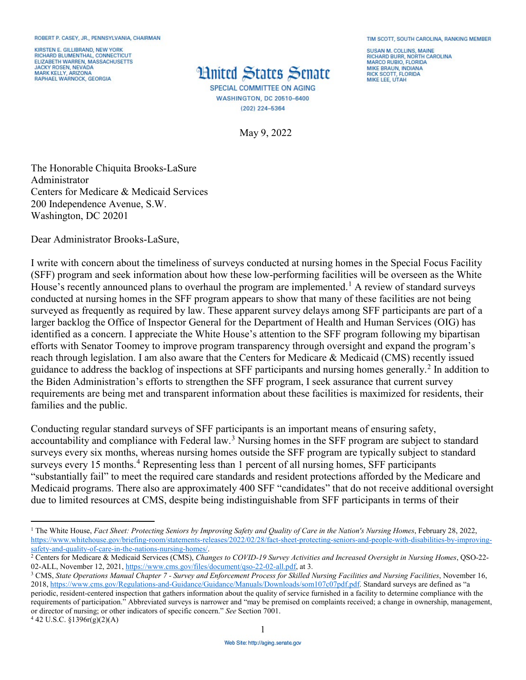KIRSTEN E. GILLIBRAND, NEW YORK<br>RICHARD BLUMENTHAL, CONNECTICUT ELIZABETH WARREN, MASSACHUSETTS JACKY ROSEN, NEVADA<br>MARK KELLY, ARIZONA RAPHAEL WARNOCK, GEORGIA

## **Hnited States Senate**

**SPECIAL COMMITTEE ON AGING WASHINGTON, DC 20510-6400** (202) 224-5364

May 9, 2022

**SUSAN M. COLLINS, MAINE RICHARD BURR, NORTH CAROLINA<br>MARCO RUBIO, FLORIDA MIKE BRAUN, INDIANA RICK SCOTT FLORIDA** MIKE LEE, UTAH

The Honorable Chiquita Brooks-LaSure Administrator Centers for Medicare & Medicaid Services 200 Independence Avenue, S.W. Washington, DC 20201

Dear Administrator Brooks-LaSure,

 (SFF) program and seek information about how these low-performing facilities will be overseen as the White surveyed as frequently as required by law. These apparent survey delays among SFF participants are part of a larger backlog the Office of Inspector General for the Department of Health and Human Services (OIG) has identified as a concern. I appreciate the White House's attention to the SFF program following my bipartisan reach through legislation. I am also aware that the Centers for Medicare & Medicaid (CMS) recently issued guidance to address the backlog of inspections at SFF participants and nursing homes generally.<sup>2</sup> In addition to the Biden Administration's efforts to strengthen the SFF program, I seek assurance that current survey I write with concern about the timeliness of surveys conducted at nursing homes in the Special Focus Facility House's recently announced plans to overhaul the program are implemented.<sup>[1](#page-0-0)</sup> A review of standard surveys conducted at nursing homes in the SFF program appears to show that many of these facilities are not being efforts with Senator Toomey to improve program transparency through oversight and expand the program's requirements are being met and transparent information about these facilities is maximized for residents, their families and the public.

Conducting regular standard surveys of SFF participants is an important means of ensuring safety, accountability and compliance with Federal law.<sup>[3](#page-0-2)</sup> Nursing homes in the SFF program are subject to standard surveys every six months, whereas nursing homes outside the SFF program are typically subject to standard surveys every 15 months.<sup>[4](#page-0-3)</sup> Representing less than 1 percent of all nursing homes, SFF participants "substantially fail" to meet the required care standards and resident protections afforded by the Medicare and Medicaid programs. There also are approximately 400 SFF "candidates" that do not receive additional oversight due to limited resources at CMS, despite being indistinguishable from SFF participants in terms of their

<span id="page-0-2"></span>2018[, https://www.cms.gov/Regulations-and-Guidance/Guidance/Manuals/Downloads/som107c07pdf.pdf.](https://www.cms.gov/Regulations-and-Guidance/Guidance/Manuals/Downloads/som107c07pdf.pdf) Standard surveys are defined as "a periodic, resident-centered inspection that gathers information about the quality of service furnished in a facility to determine compliance with the

requirements of participation." Abbreviated surveys is narrower and "may be premised on complaints received; a change in ownership, management, or director of nursing; or other indicators of specific concern." *See* Section 7001. 4 42 U.S.C. §1396r(g)(2)(A)

<span id="page-0-3"></span>

<span id="page-0-0"></span><sup>1</sup> 1 The White House, *Fact Sheet: Protecting Seniors by Improving Safety and Quality of Care in the Nation's Nursing Homes*, February 28, 2022, https://www.whitehouse.gov/briefing-room/statements-releases/2022/02/28/fact-sheet-protecting-seniors-and-people-with-disabilities-by-improving-<br>safety-and-quality-of-care-in-the-nations-nursing-homes/.

<span id="page-0-1"></span><sup>&</sup>lt;sup>2</sup> Centers for Medicare & Medicaid Services (CMS), *Changes to COVID-19 Survey Activities and Increased Oversight in Nursing Homes*, QSO-22-02-ALL, November 12, 2021[, https://www.cms.gov/files/document/qso-22-02-all.pdf,](https://www.cms.gov/files/document/qso-22-02-all.pdf) at 3.<br><sup>3</sup> CMS, *State Operations Manual Chapter 7 - Survey and Enforcement Process for Skilled Nursing Facilities and Nursing Facilities, Nov*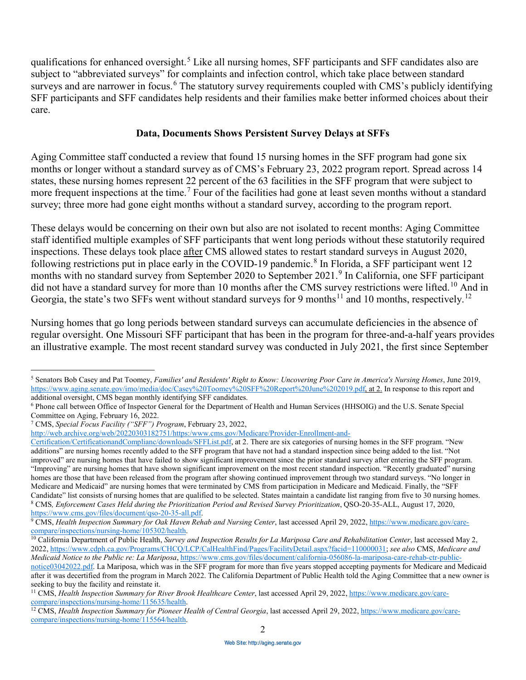qualifications for enhanced oversight.<sup>5</sup> Like all nursing homes, SFF participants and SFF candidates also are SFF participants and SFF candidates help residents and their families make better informed choices about their subject to "abbreviated surveys" for complaints and infection control, which take place between standard surveys and are narrower in focus.<sup>[6](#page-1-1)</sup> The statutory survey requirements coupled with CMS's publicly identifying care.

## **Data, Documents Shows Persistent Survey Delays at SFFs**

Aging Committee staff conducted a review that found 15 nursing homes in the SFF program had gone six months or longer without a standard survey as of CMS's February 23, 2022 program report. Spread across 14 states, these nursing homes represent 22 percent of the 63 facilities in the SFF program that were subject to more frequent inspections at the time.<sup>[7](#page-1-2)</sup> Four of the facilities had gone at least seven months without a standard survey; three more had gone eight months without a standard survey, according to the program report.

 These delays would be concerning on their own but also are not isolated to recent months: Aging Committee following restrictions put in place early in the COVID-19 pandemic.<sup>[8](#page-1-3)</sup> In Florida, a SFF participant went 12 did not have a standard survey for more than 10 months after the CMS survey restrictions were [lifted.](https://lifted.10)<sup>10</sup> And in staff identified multiple examples of SFF participants that went long periods without these statutorily required inspections. These delays took place after CMS allowed states to restart standard surveys in August 2020, months with no standard survey from September 2020 to September 2021.[9](#page-1-4) In California, one SFF participant Georgia, the state's two SFFs went without standard surveys for 9 months<sup>[11](#page-1-6)</sup> and 10 months, [respectively.](https://respectively.12)<sup>[12](#page-1-7)</sup>

Nursing homes that go long periods between standard surveys can accumulate deficiencies in the absence of regular oversight. One Missouri SFF participant that has been in the program for three-and-a-half years provides an illustrative example. The most recent standard survey was conducted in July 2021, the first since September

<span id="page-1-2"></span>7 CMS, *Special Focus Facility ("SFF") Program*, February 23, 2022,

-

[http://web.archive.org/web/20220303182751/https:/www.cms.gov/Medicare/Provider-Enrollment-and-](http://web.archive.org/web/20220303182751/https:/www.cms.gov/Medicare/Provider-Enrollment-and-Certification/CertificationandComplianc/downloads/SFFList.pdf)

 additions" are nursing homes recently added to the SFF program that have not had a standard inspection since being added to the list. "Not Candidate" list consists of nursing homes that are qualified to be selected. States maintain a candidate list ranging from five to 30 nursing homes. [Certification/CertificationandComplianc/downloads/SFFList.pdf,](http://web.archive.org/web/20220303182751/https:/www.cms.gov/Medicare/Provider-Enrollment-and-Certification/CertificationandComplianc/downloads/SFFList.pdf) at 2. There are six categories of nursing homes in the SFF program. "New improved" are nursing homes that have failed to show significant improvement since the prior standard survey after entering the SFF program. "Improving" are nursing homes that have shown significant improvement on the most recent standard inspection. "Recently graduated" nursing homes are those that have been released from the program after showing continued improvement through two standard surveys. "No longer in Medicare and Medicaid" are nursing homes that were terminated by CMS from participation in Medicare and Medicaid. Finally, the "SFF <sup>8</sup> CMS, Enforcement Cases Held during the Prioritization Period and Revised Survey Prioritization, QSO-20-35-ALL, August 17, 2020,

<span id="page-1-0"></span><sup>5</sup> Senators Bob Casey and Pat Toomey, *Families' and Residents' Right to Know: Uncovering Poor Care in America's Nursing Homes*, June 2019, [https://www.aging.senate.gov/imo/media/doc/Casey%20Toomey%20SFF%20Report%20June%202019.pdf,](https://www.aging.senate.gov/imo/media/doc/Casey%20Toomey%20SFF%20Report%20June%202019.pdf) at 2. In response to this report and additional oversight, CMS began monthly identifying SFF candidates.

<span id="page-1-1"></span>additional oversight, CMS began monthly identifying SFF candidates.<br><sup>6</sup> Phone call between Office of Inspector General for the Department of Health and Human Services (HHSOIG) and the U.S. Senate Special Committee on Aging, February 16, 2022.

<span id="page-1-4"></span><span id="page-1-3"></span>[https://www.cms.gov/files/document/qso-20-35-all.pdf.](https://www.cms.gov/files/document/qso-20-35-all.pdf)<br><sup>9</sup>CMS, *Health Inspection Summary for Oak Haven Rehab and Nursing Center*, last accessed April 29, 2022, [https://www.medicare.gov/car](https://www.medicare.gov/care)e-<br>compare/inspections/nursing-ho

<span id="page-1-5"></span>compare/inspections/nursing-home/105302/health.<br><sup>10</sup> California Department of Public Health, *Survey and Inspection Results for La Mariposa Care and Rehabilitation Center*, last accessed May 2, [notice03042022.pdf.](https://www.cms.gov/files/document/california-056086-la-mariposa-care-rehab-ctr-public-notice03042022.pdf) La Mariposa, which was in the SFF program for more than five years stopped accepting payments for Medicare and Medicaid 2022[, https://www.cdph.ca.gov/Programs/CHCQ/LCP/CalHealthFind/Pages/FacilityDetail.aspx?facid=110000031;](https://www.cdph.ca.gov/Programs/CHCQ/LCP/CalHealthFind/Pages/FacilityDetail.aspx?facid=110000031) *see also* CMS, *Medicare and Medicaid Notice to the Public re: La Mariposa*[,](https://www.cms.gov/files/document/california-056086-la-mariposa-care-rehab-ctr-public-notice03042022.pdf) <https://www.cms.gov/files/document/california-056086-la-mariposa-care-rehab-ctr-public>after it was decertified from the program in March 2022. The California Department of Public Health told the Aging Committee that a new owner is seeking to buy the facility and reinstate it.

<span id="page-1-6"></span><sup>&</sup>lt;sup>11</sup> CMS, *Health Inspection Summary for River Brook Healthcare Center*, last accessed April 29, 2022[, https://www.medicare.gov/care-](https://www.medicare.gov/care-compare/inspections/nursing-home/115635/health)

<span id="page-1-7"></span>compare/inspections/nursing-home/115635/health.<br><sup>12</sup> CMS, *Health Inspection Summary for Pioneer Health of Central Georgia*, last accessed April 29, 2022, <u>https://www.medicare.gov/care</u>[compare/inspections/nursing-home/115564/health.](https://www.medicare.gov/care-compare/inspections/nursing-home/115564/health)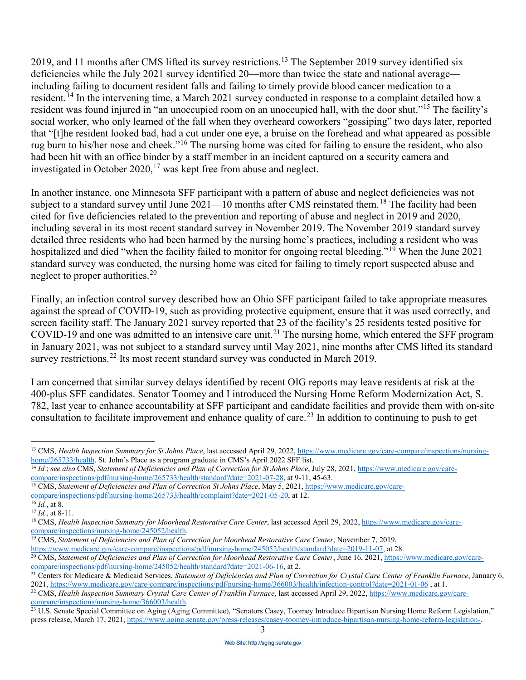2019, and 11 months after CMS lifted its survey [restrictions.](https://restrictions.13)<sup>13</sup> The September 2019 survey identified six deficiencies while the July 2021 survey identified 20—more than twice the state and national average including failing to document resident falls and failing to timely provide blood cancer medication to a [resident.](https://resident.14)[14](#page-2-1) In the intervening time, a March 2021 survey conducted in response to a complaint detailed how a resident was found injured in "an unoccupied room on an unoccupied hall, with the door shut."[15](#page-2-2) The facility's social worker, who only learned of the fall when they overheard coworkers "gossiping" two days later, reported that "[t]he resident looked bad, had a cut under one eye, a bruise on the forehead and what appeared as possible rug burn to his/her nose and cheek."[16](#page-2-3) The nursing home was cited for failing to ensure the resident, who also had been hit with an office binder by a staff member in an incident captured on a security camera and investigated in October 2020,<sup>17</sup> was kept free from abuse and neglect.

 In another instance, one Minnesota SFF participant with a pattern of abuse and neglect deficiencies was not subject to a standard survey until June 2021—10 months after CMS reinstated them.<sup>[18](#page-2-5)</sup> The facility had been cited for five deficiencies related to the prevention and reporting of abuse and neglect in 2019 and 2020, including several in its most recent standard survey in November 2019. The November 2019 standard survey detailed three residents who had been harmed by the nursing home's practices, including a resident who was hospitalized and died "when the facility failed to monitor for ongoing rectal bleeding."<sup>19</sup> When the June 2021 standard survey was conducted, the nursing home was cited for failing to timely report suspected abuse and neglect to proper [authorities.](https://authorities.20)<sup>20</sup>

Finally, an infection control survey described how an Ohio SFF participant failed to take appropriate measures against the spread of COVID-19, such as providing protective equipment, ensure that it was used correctly, and screen facility staff. The January 2021 survey reported that 23 of the facility's 25 residents tested positive for COVID-19 and one was admitted to an intensive care unit.<sup>21</sup> The nursing home, which entered the SFF program in January 2021, was not subject to a standard survey until May 2021, nine months after CMS lifted its standard survey [restrictions.](https://restrictions.22)<sup>22</sup> Its most recent standard survey was conducted in March 2019.

I am concerned that similar survey delays identified by recent OIG reports may leave residents at risk at the 400-plus SFF candidates. Senator Toomey and I introduced the Nursing Home Reform Modernization Act, S. 782, last year to enhance accountability at SFF participant and candidate facilities and provide them with on-site consultation to facilitate improvement and enhance quality of care.<sup>23</sup> In addition to continuing to push to get

<span id="page-2-0"></span> $\overline{a}$ <sup>13</sup> CMS, *Health Inspection Summary for St Johns Place*, last accessed April 29, 2022, <u>h[ttps://www.medicare.gov/care-compare/inspections/nursing](https://www.medicare.gov/care-compare/inspections/nursing)-home/265733/health. St. John's Place as a program graduate in CMS's April 2</u>

<span id="page-2-1"></span> $\frac{14}{14}$  *Id.*; see also CMS[,](https://www.medicare.gov/care-compare/inspections/pdf/nursing-home/265733/health/standard?date=2021-07-28) Statement of Deficiencies and Plan of Correction for St Johns Place, July 28, 2021, [https://www.medicare.gov/car](https://www.medicare.gov/care)e-compare/inspections/pdf/nursing-home/265733/health/standard?date=2021-07-2

<span id="page-2-2"></span><sup>&</sup>lt;sup>15</sup> CMS, *Statement of Deficiencies and Plan of Correction St Johns Place*, May 5, 2021, https://www.medicare.gov/care-<br>compare/inspections/pdf/nursing-home/265733/health/complaint?date=2021-05-20, at 12.

<span id="page-2-3"></span> $\frac{16}{16}$  *Id.*, at 8.

<span id="page-2-4"></span> $17$  *Id.*, at 8-11.

<span id="page-2-5"></span> [compare/inspections/nursing-home/245052/health.](https://www.medicare.gov/care-compare/inspections/nursing-home/245052/health) 19 CMS, *Statement of Deficiencies and Plan of Correction for Moorhead Restorative Care Center*, November 7, 2019, <sup>18</sup> CMS[,](https://www.medicare.gov/care-compare/inspections/nursing-home/245052/health) *Health Inspection Summary for Moorhead Restorative Care Center*, last accessed April 29, 2022, [https://www.medicare.gov/car](https://www.medicare.gov/care)e-compare/inspections/nursing-home/245052/health.

<span id="page-2-6"></span>

<span id="page-2-7"></span>[compare/inspections/pdf/nursing-home/245052/health/standard?date=2021-06-16,](https://www.medicare.gov/care-compare/inspections/pdf/nursing-home/245052/health/standard?date=2021-06-16) at 2.<br><sup>21</sup> Centers for Medicare & Medicaid Services, Statement of Deficiencies and Plan of Correction for Crystal Care Center of Franklin Furnace [https://www.medicare.gov/care-compare/inspections/pdf/nursing-home/245052/health/standard?date=2019-11-07,](https://www.medicare.gov/care-compare/inspections/pdf/nursing-home/245052/health/standard?date=2019-11-07) at 28.<br><sup>20</sup> CMS[,](https://www.medicare.gov/care-compare/inspections/pdf/nursing-home/245052/health/standard?date=2021-06-16) *Statement of Deficiencies and Plan of Correction for Moorhead Restorative Care Center*, June 16,

<span id="page-2-8"></span>

<sup>2021</sup>[, https://www.medicare.gov/care-compare/inspections/pdf/nursing-home/366003/health/infection-control?date=2021-01-06 ,](https://www.medicare.gov/care-compare/inspections/pdf/nursing-home/366003/health/infection-control?date=2021-01-06) at 1.<br><sup>22</sup> CMS, *Health Inspection Summary Crystal Care Center of Franklin Furnace*, last accessed

<span id="page-2-10"></span><span id="page-2-9"></span>press release, March 17, 2021, https://www.aging.senate.gov/press-releases/casey-toomey-introduce-bipartisan-nursing-home-reform-legislation-. compare/inspections/nursing-home/366003/health.<br><sup>23</sup> U.S. Senate Special Committee on Aging (Aging Committee), "Senators Casey, Toomey Introduce Bipartisan Nursing Home Reform Legislation,"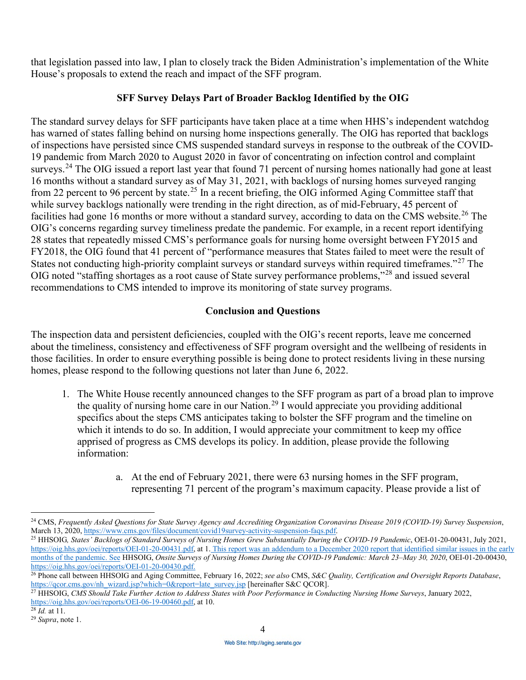that legislation passed into law, I plan to closely track the Biden Administration's implementation of the White House's proposals to extend the reach and impact of the SFF program.

## **SFF Survey Delays Part of Broader Backlog Identified by the OIG**

[surveys.](https://surveys.24)<sup>[24](#page-3-0)</sup> The OIG issued a report last year that found 71 percent of nursing homes nationally had gone at least 28 states that repeatedly missed CMS's performance goals for nursing home oversight between FY2015 and The standard survey delays for SFF participants have taken place at a time when HHS's independent watchdog has warned of states falling behind on nursing home inspections generally. The OIG has reported that backlogs of inspections have persisted since CMS suspended standard surveys in response to the outbreak of the COVID-19 pandemic from March 2020 to August 2020 in favor of concentrating on infection control and complaint 16 months without a standard survey as of May 31, 2021, with backlogs of nursing homes surveyed ranging from 22 percent to 96 percent by [state.](https://state.25)<sup>25</sup> In a recent briefing, the OIG informed Aging Committee staff that while survey backlogs nationally were trending in the right direction, as of mid-February, 45 percent of facilities had gone 16 months or more without a standard survey, according to data on the CMS [website.](https://website.26)<sup>26</sup> The OIG's concerns regarding survey timeliness predate the pandemic. For example, in a recent report identifying FY2018, the OIG found that 41 percent of "performance measures that States failed to meet were the result of States not conducting high-priority complaint surveys or standard surveys within required timeframes."<sup>[27](#page-3-3)</sup> The OIG noted "staffing shortages as a root cause of State survey performance problems,"[28](#page-3-4) and issued several recommendations to CMS intended to improve its monitoring of state survey programs.

## **Conclusion and Questions**

The inspection data and persistent deficiencies, coupled with the OIG's recent reports, leave me concerned about the timeliness, consistency and effectiveness of SFF program oversight and the wellbeing of residents in those facilities. In order to ensure everything possible is being done to protect residents living in these nursing homes, please respond to the following questions not later than June 6, 2022.

- 1. The White House recently announced changes to the SFF program as part of a broad plan to improve the quality of nursing home care in our [Nation.](https://Nation.29)<sup>[29](#page-3-5)</sup> I would appreciate you providing additional which it intends to do so. In addition, I would appreciate your commitment to keep my office specifics about the steps CMS anticipates taking to bolster the SFF program and the timeline on apprised of progress as CMS develops its policy. In addition, please provide the following information:
	- a. At the end of February 2021, there were 63 nursing homes in the SFF program, representing 71 percent of the program's maximum capacity. Please provide a list of

1

<span id="page-3-0"></span><sup>&</sup>lt;sup>24</sup> CMS, *Frequently Asked Questions for State Survey Agency and Accrediting Organization Coronavirus Disease 2019 (COVID-19) Survey Suspension, March 13, 2020, https://www.cms.gov/files/document/covid19survey-activity-su* 

<span id="page-3-1"></span> [https://oig.hhs.gov/oei/reports/OEI-01-20-00430.pdf.](https://oig.hhs.gov/oei/reports/OEI-01-20-00430.pdf) 26 Phone call between HHSOIG and Aging Committee, February 16, 2022; *see also* CMS, *S&C Quality, Certification and Oversight Reports Database*, <sup>25</sup> HHSOIG, States' Backlogs of Standard Surveys of Nursing Homes Grew Substantially During the COVID-19 Pandemic, OEI-01-20-00431, July 2021, [https://oig.hhs.gov/oei/reports/OEI-01-20-00431.pdf,](https://oig.hhs.gov/oei/reports/OEI-01-20-00431.pdf) at 1. This report was an addendum to a December 2020 report that identified similar issues in the early months of the pandemic. See HHSOIG, *Onsite Surveys of Nursing Homes During the COVID-19 Pandemic: March 23-May 30, 2020*, OEI-01-20-00430, https://oig.hhs.gov/oei/reports/OEI-01-20-00430.pdf.

<span id="page-3-2"></span>[https://qcor.cms.gov/nh\\_wizard.jsp?which=0&report=late\\_survey.jsp](https://qcor.cms.gov/nh_wizard.jsp?which=0&report=late_survey.jsp) [hereinafter S&C QCOR].<br><sup>27</sup> HHSOIG, CMS Should Take Further Action to Address States with Poor Performance in Conducting Nursing Home Surveys, January 2022

<span id="page-3-3"></span>[https://oig.hhs.gov/oei/reports/OEI-06-19-00460.pdf,](https://oig.hhs.gov/oei/reports/OEI-06-19-00460.pdf) at 10.

<span id="page-3-5"></span>

<span id="page-3-4"></span> $\frac{28 \text{ Id.}}{29 \text{ Supra}}$ , note 1.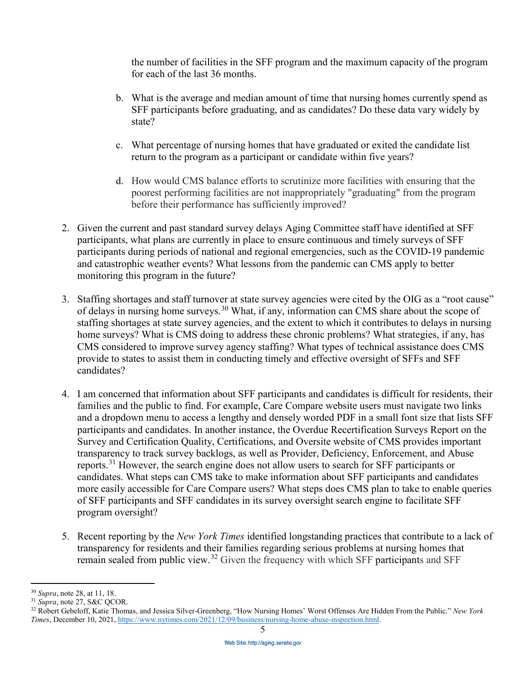the number of facilities in the SFF program and the maximum capacity of the program for each of the last 36 months.

- SFF participants before graduating, and as candidates? Do these data vary widely by b. What is the average and median amount of time that nursing homes currently spend as state?
- c. What percentage of nursing homes that have graduated or exited the candidate list return to the program as a participant or candidate within five years?
- poorest performing facilities are not inappropriately "graduating" from the program d. How would CMS balance efforts to scrutinize more facilities with ensuring that the before their performance has sufficiently improved?
- and catastrophic weather events? What lessons from the pandemic can CMS apply to better monitoring this program in the future? 2. Given the current and past standard survey delays Aging Committee staff have identified at SFF participants, what plans are currently in place to ensure continuous and timely surveys of SFF participants during periods of national and regional emergencies, such as the COVID-19 pandemic
- 3. Staffing shortages and staff turnover at state survey agencies were cited by the OIG as a "root cause" CMS considered to improve survey agency staffing? What types of technical assistance does CMS of delays in nursing home [surveys.](https://surveys.30)<sup>30</sup> What, if any, information can CMS share about the scope of staffing shortages at state survey agencies, and the extent to which it contributes to delays in nursing home surveys? What is CMS doing to address these chronic problems? What strategies, if any, has provide to states to assist them in conducting timely and effective oversight of SFFs and SFF candidates?
- and a dropdown menu to access a lengthy and densely worded PDF in a small font size that lists SFF program oversight? 4. I am concerned that information about SFF participants and candidates is difficult for residents, their families and the public to find. For example, Care Compare website users must navigate two links participants and candidates. In another instance, the Overdue Recertification Surveys Report on the Survey and Certification Quality, Certifications, and Oversite website of CMS provides important transparency to track survey backlogs, as well as Provider, Deficiency, Enforcement, and Abuse [reports.](https://reports.31)[31](#page-4-1) However, the search engine does not allow users to search for SFF participants or candidates. What steps can CMS take to make information about SFF participants and candidates more easily accessible for Care Compare users? What steps does CMS plan to take to enable queries of SFF participants and SFF candidates in its survey oversight search engine to facilitate SFF
- program oversight? 5. Recent reporting by the *New York Times* identified longstanding practices that contribute to a lack of transparency for residents and their families regarding serious problems at nursing homes that remain sealed from public view.[32](#page-4-2) Given the frequency with which SFF participants and SFF

 $\overline{a}$ 

<span id="page-4-2"></span><span id="page-4-1"></span>

<span id="page-4-0"></span><sup>&</sup>lt;sup>30</sup> *Supra*, note 28, at 11, 18.<br><sup>31</sup> *Supra*, note 27, S&C QCOR.<br><sup>32</sup> Robert Gebeloff, Katie Thomas, and Jessica Silver-Greenberg, "How Nursing Homes' Worst Offenses Are Hidden From the Public," *New York Times*, December 10, 2021[, https://www.nytimes.com/2021/12/09/business/nursing-home-abuse-inspection.html.](https://www.nytimes.com/2021/12/09/business/nursing-home-abuse-inspection.html)